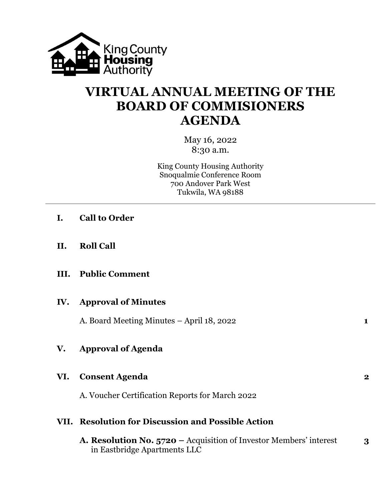

# **VIRTUAL ANNUAL MEETING OF THE BOARD OF COMMISIONERS AGENDA**

May 16, 2022 8:30 a.m.

King County Housing Authority Snoqualmie Conference Room 700 Andover Park West Tukwila, WA 98188

- **I. Call to Order**
- **II. Roll Call**
- **III. Public Comment**

#### **IV. Approval of Minutes**

A. Board Meeting Minutes – April 18, 2022 **1**

## **V. Approval of Agenda**

### **VI. Consent Agenda 2**

A. Voucher Certification Reports for March 2022

### **VII. Resolution for Discussion and Possible Action**

**A. Resolution No. 5720 –** Acquisition of Investor Members' interest **3** in Eastbridge Apartments LLC